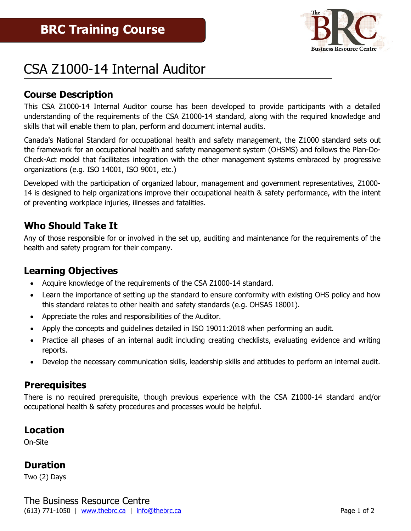

# CSA Z1000-14 Internal Auditor

#### **Course Description**

This CSA Z1000-14 Internal Auditor course has been developed to provide participants with a detailed understanding of the requirements of the CSA Z1000-14 standard, along with the required knowledge and skills that will enable them to plan, perform and document internal audits.

Canada's National Standard for occupational health and safety management, the Z1000 standard sets out the framework for an occupational health and safety management system (OHSMS) and follows the Plan-Do-Check-Act model that facilitates integration with the other management systems embraced by progressive organizations (e.g. ISO 14001, ISO 9001, etc.)

Developed with the participation of organized labour, management and government representatives, Z1000- 14 is designed to help organizations improve their occupational health & safety performance, with the intent of preventing workplace injuries, illnesses and fatalities.

#### **Who Should Take It**

Any of those responsible for or involved in the set up, auditing and maintenance for the requirements of the health and safety program for their company.

#### **Learning Objectives**

- Acquire knowledge of the requirements of the CSA Z1000-14 standard.
- Learn the importance of setting up the standard to ensure conformity with existing OHS policy and how this standard relates to other health and safety standards (e.g. OHSAS 18001).
- Appreciate the roles and responsibilities of the Auditor.
- Apply the concepts and guidelines detailed in ISO 19011:2018 when performing an audit.
- Practice all phases of an internal audit including creating checklists, evaluating evidence and writing reports.
- Develop the necessary communication skills, leadership skills and attitudes to perform an internal audit.

#### **Prerequisites**

There is no required prerequisite, though previous experience with the CSA Z1000-14 standard and/or occupational health & safety procedures and processes would be helpful.

#### **Location**

On-Site

#### **Duration**

Two (2) Days